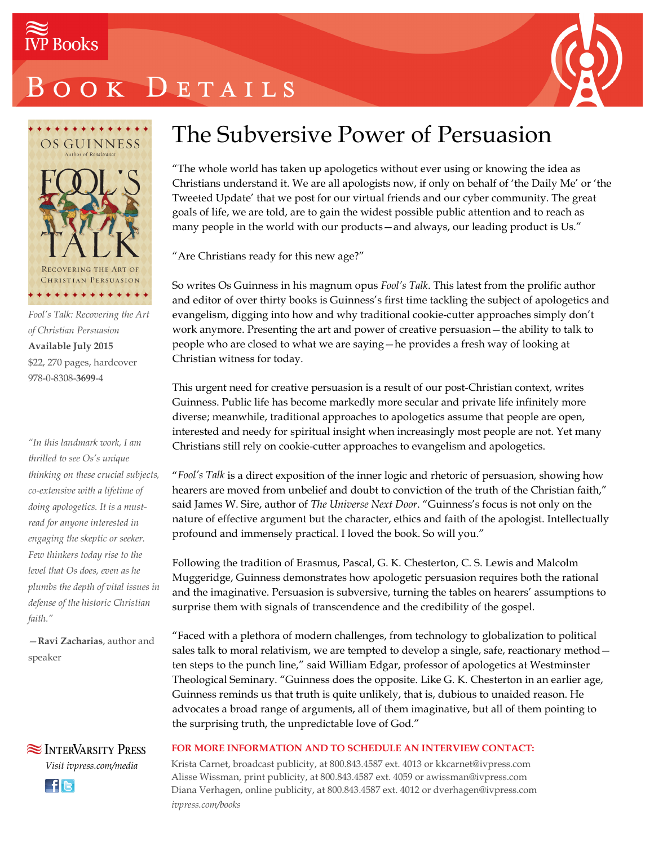

# OOK DETAILS





*Fool's Talk: Recovering the Art of Christian Persuasion* **Available July 2015** \$22, 270 pages, hardcover 978-0-8308-**3699**-4

*"In this landmark work, I am thrilled to see Os's unique thinking on these crucial subjects, co-extensive with a lifetime of doing apologetics. It is a mustread for anyone interested in engaging the skeptic or seeker. Few thinkers today rise to the level that Os does, even as he plumbs the depth of vital issues in defense of the historic Christian faith."*

—**Ravi Zacharias**, author and speaker



**Ele** 

### The Subversive Power of Persuasion

"The whole world has taken up apologetics without ever using or knowing the idea as Christians understand it. We are all apologists now, if only on behalf of 'the Daily Me' or 'the Tweeted Update' that we post for our virtual friends and our cyber community. The great goals of life, we are told, are to gain the widest possible public attention and to reach as many people in the world with our products—and always, our leading product is Us."

"Are Christians ready for this new age?"

So writes Os Guinness in his magnum opus *Fool's Talk*. This latest from the prolific author and editor of over thirty books is Guinness's first time tackling the subject of apologetics and evangelism, digging into how and why traditional cookie-cutter approaches simply don't work anymore. Presenting the art and power of creative persuasion—the ability to talk to people who are closed to what we are saying—he provides a fresh way of looking at Christian witness for today.

This urgent need for creative persuasion is a result of our post-Christian context, writes Guinness. Public life has become markedly more secular and private life infinitely more diverse; meanwhile, traditional approaches to apologetics assume that people are open, interested and needy for spiritual insight when increasingly most people are not. Yet many Christians still rely on cookie-cutter approaches to evangelism and apologetics.

"*Fool's Talk* is a direct exposition of the inner logic and rhetoric of persuasion, showing how hearers are moved from unbelief and doubt to conviction of the truth of the Christian faith," said James W. Sire, author of *The Universe Next Door*. "Guinness's focus is not only on the nature of effective argument but the character, ethics and faith of the apologist. Intellectually profound and immensely practical. I loved the book. So will you."

Following the tradition of Erasmus, Pascal, G. K. Chesterton, C. S. Lewis and Malcolm Muggeridge, Guinness demonstrates how apologetic persuasion requires both the rational and the imaginative. Persuasion is subversive, turning the tables on hearers' assumptions to surprise them with signals of transcendence and the credibility of the gospel.

"Faced with a plethora of modern challenges, from technology to globalization to political sales talk to moral relativism, we are tempted to develop a single, safe, reactionary method ten steps to the punch line," said William Edgar, professor of apologetics at Westminster Theological Seminary. "Guinness does the opposite. Like G. K. Chesterton in an earlier age, Guinness reminds us that truth is quite unlikely, that is, dubious to unaided reason. He advocates a broad range of arguments, all of them imaginative, but all of them pointing to the surprising truth, the unpredictable love of God."

#### **FOR MORE INFORMATION AND TO SCHEDULE AN INTERVIEW CONTACT:**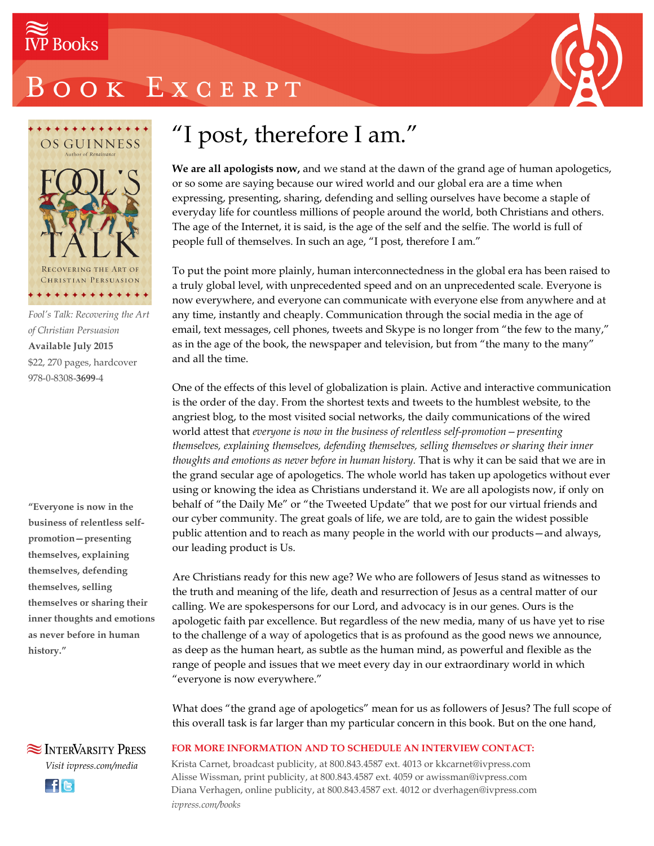

# OOK EXCERPT





*Fool's Talk: Recovering the Art of Christian Persuasion* **Available July 2015** \$22, 270 pages, hardcover 978-0-8308-**3699**-4

**"Everyone is now in the business of relentless selfpromotion—presenting themselves, explaining themselves, defending themselves, selling themselves or sharing their inner thoughts and emotions as never before in human history."**

## "I post, therefore I am."

**We are all apologists now,** and we stand at the dawn of the grand age of human apologetics, or so some are saying because our wired world and our global era are a time when expressing, presenting, sharing, defending and selling ourselves have become a staple of everyday life for countless millions of people around the world, both Christians and others. The age of the Internet, it is said, is the age of the self and the selfie. The world is full of people full of themselves. In such an age, "I post, therefore I am."

To put the point more plainly, human interconnectedness in the global era has been raised to a truly global level, with unprecedented speed and on an unprecedented scale. Everyone is now everywhere, and everyone can communicate with everyone else from anywhere and at any time, instantly and cheaply. Communication through the social media in the age of email, text messages, cell phones, tweets and Skype is no longer from "the few to the many," as in the age of the book, the newspaper and television, but from "the many to the many" and all the time.

One of the effects of this level of globalization is plain. Active and interactive communication is the order of the day. From the shortest texts and tweets to the humblest website, to the angriest blog, to the most visited social networks, the daily communications of the wired world attest that *everyone is now in the business of relentless self-promotion—presenting themselves, explaining themselves, defending themselves, selling themselves or sharing their inner thoughts and emotions as never before in human history.* That is why it can be said that we are in the grand secular age of apologetics. The whole world has taken up apologetics without ever using or knowing the idea as Christians understand it. We are all apologists now, if only on behalf of "the Daily Me" or "the Tweeted Update" that we post for our virtual friends and our cyber community. The great goals of life, we are told, are to gain the widest possible public attention and to reach as many people in the world with our products—and always, our leading product is Us.

Are Christians ready for this new age? We who are followers of Jesus stand as witnesses to the truth and meaning of the life, death and resurrection of Jesus as a central matter of our calling. We are spokespersons for our Lord, and advocacy is in our genes. Ours is the apologetic faith par excellence. But regardless of the new media, many of us have yet to rise to the challenge of a way of apologetics that is as profound as the good news we announce, as deep as the human heart, as subtle as the human mind, as powerful and flexible as the range of people and issues that we meet every day in our extraordinary world in which "everyone is now everywhere."

What does "the grand age of apologetics" mean for us as followers of Jesus? The full scope of this overall task is far larger than my particular concern in this book. But on the one hand,

**SEX INTERVARSITY PRESS** *Visit ivpress.com/media* **Ele** 

#### **FOR MORE INFORMATION AND TO SCHEDULE AN INTERVIEW CONTACT:**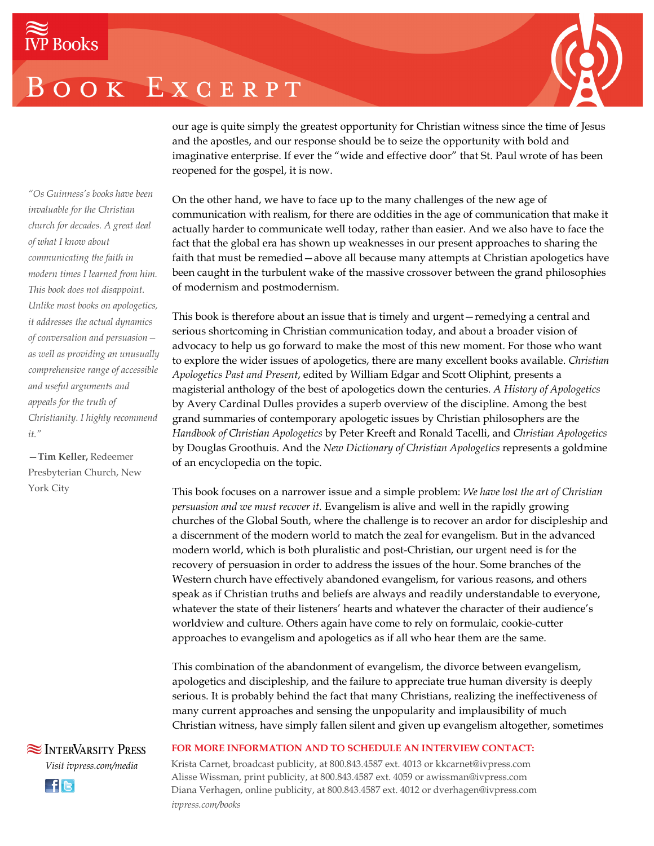## BOOK EXCERPT



our age is quite simply the greatest opportunity for Christian witness since the time of Jesus and the apostles, and our response should be to seize the opportunity with bold and imaginative enterprise. If ever the "wide and effective door" that St. Paul wrote of has been reopened for the gospel, it is now.

*"Os Guinness's books have been invaluable for the Christian church for decades. A great deal of what I know about communicating the faith in modern times I learned from him. This book does not disappoint. Unlike most books on apologetics, it addresses the actual dynamics of conversation and persuasion as well as providing an unusually comprehensive range of accessible and useful arguments and appeals for the truth of Christianity. I highly recommend it."*

**—Tim Keller,** Redeemer Presbyterian Church, New York City



On the other hand, we have to face up to the many challenges of the new age of communication with realism, for there are oddities in the age of communication that make it actually harder to communicate well today, rather than easier. And we also have to face the fact that the global era has shown up weaknesses in our present approaches to sharing the faith that must be remedied—above all because many attempts at Christian apologetics have been caught in the turbulent wake of the massive crossover between the grand philosophies of modernism and postmodernism.

This book is therefore about an issue that is timely and urgent—remedying a central and serious shortcoming in Christian communication today, and about a broader vision of advocacy to help us go forward to make the most of this new moment. For those who want to explore the wider issues of apologetics, there are many excellent books available. *Christian Apologetics Past and Present*, edited by William Edgar and Scott Oliphint, presents a magisterial anthology of the best of apologetics down the centuries. *A History of Apologetics* by Avery Cardinal Dulles provides a superb overview of the discipline. Among the best grand summaries of contemporary apologetic issues by Christian philosophers are the *Handbook of Christian Apologetics* by Peter Kreeft and Ronald Tacelli, and *Christian Apologetics* by Douglas Groothuis. And the *New Dictionary of Christian Apologetics* represents a goldmine of an encyclopedia on the topic.

This book focuses on a narrower issue and a simple problem: *We have lost the art of Christian persuasion and we must recover it.* Evangelism is alive and well in the rapidly growing churches of the Global South, where the challenge is to recover an ardor for discipleship and a discernment of the modern world to match the zeal for evangelism. But in the advanced modern world, which is both pluralistic and post-Christian, our urgent need is for the recovery of persuasion in order to address the issues of the hour. Some branches of the Western church have effectively abandoned evangelism, for various reasons, and others speak as if Christian truths and beliefs are always and readily understandable to everyone, whatever the state of their listeners' hearts and whatever the character of their audience's worldview and culture. Others again have come to rely on formulaic, cookie-cutter approaches to evangelism and apologetics as if all who hear them are the same.

This combination of the abandonment of evangelism, the divorce between evangelism, apologetics and discipleship, and the failure to appreciate true human diversity is deeply serious. It is probably behind the fact that many Christians, realizing the ineffectiveness of many current approaches and sensing the unpopularity and implausibility of much Christian witness, have simply fallen silent and given up evangelism altogether, sometimes

#### **FOR MORE INFORMATION AND TO SCHEDULE AN INTERVIEW CONTACT:**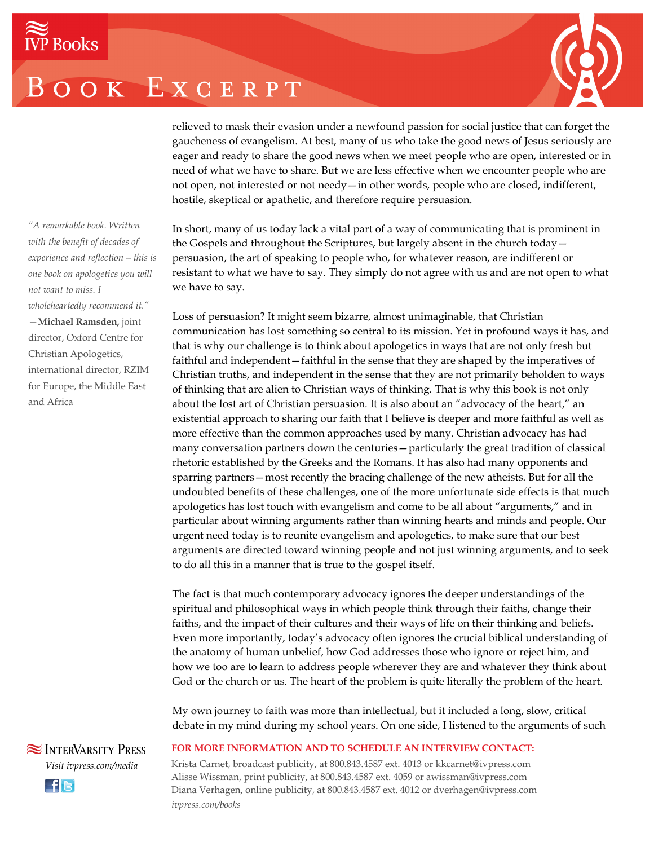# OOK EXCERPT



relieved to mask their evasion under a newfound passion for social justice that can forget the gaucheness of evangelism. At best, many of us who take the good news of Jesus seriously are eager and ready to share the good news when we meet people who are open, interested or in need of what we have to share. But we are less effective when we encounter people who are not open, not interested or not needy—in other words, people who are closed, indifferent, hostile, skeptical or apathetic, and therefore require persuasion.

In short, many of us today lack a vital part of a way of communicating that is prominent in the Gospels and throughout the Scriptures, but largely absent in the church today persuasion, the art of speaking to people who, for whatever reason, are indifferent or resistant to what we have to say. They simply do not agree with us and are not open to what we have to say.

Loss of persuasion? It might seem bizarre, almost unimaginable, that Christian communication has lost something so central to its mission. Yet in profound ways it has, and that is why our challenge is to think about apologetics in ways that are not only fresh but faithful and independent—faithful in the sense that they are shaped by the imperatives of Christian truths, and independent in the sense that they are not primarily beholden to ways of thinking that are alien to Christian ways of thinking. That is why this book is not only about the lost art of Christian persuasion. It is also about an "advocacy of the heart," an existential approach to sharing our faith that I believe is deeper and more faithful as well as more effective than the common approaches used by many. Christian advocacy has had many conversation partners down the centuries—particularly the great tradition of classical rhetoric established by the Greeks and the Romans. It has also had many opponents and sparring partners—most recently the bracing challenge of the new atheists. But for all the undoubted benefits of these challenges, one of the more unfortunate side effects is that much apologetics has lost touch with evangelism and come to be all about "arguments," and in particular about winning arguments rather than winning hearts and minds and people. Our urgent need today is to reunite evangelism and apologetics, to make sure that our best arguments are directed toward winning people and not just winning arguments, and to seek to do all this in a manner that is true to the gospel itself.

The fact is that much contemporary advocacy ignores the deeper understandings of the spiritual and philosophical ways in which people think through their faiths, change their faiths, and the impact of their cultures and their ways of life on their thinking and beliefs. Even more importantly, today's advocacy often ignores the crucial biblical understanding of the anatomy of human unbelief, how God addresses those who ignore or reject him, and how we too are to learn to address people wherever they are and whatever they think about God or the church or us. The heart of the problem is quite literally the problem of the heart.

My own journey to faith was more than intellectual, but it included a long, slow, critical debate in my mind during my school years. On one side, I listened to the arguments of such

#### **FOR MORE INFORMATION AND TO SCHEDULE AN INTERVIEW CONTACT:**

Krista Carnet, broadcast publicity, at 800.843.4587 ext. 4013 or kkcarnet@ivpress.com Alisse Wissman, print publicity, at 800.843.4587 ext. 4059 or awissman@ivpress.com Diana Verhagen, online publicity, at 800.843.4587 ext. 4012 or dverhagen@ivpress.com *ivpress.com/books*

*"A remarkable book. Written with the benefit of decades of experience and reflection—this is one book on apologetics you will not want to miss. I wholeheartedly recommend it."* —**Michael Ramsden,** joint director, Oxford Centre for Christian Apologetics, international director, RZIM for Europe, the Middle East and Africa

**SEX INTERVARSITY PRESS** *Visit ivpress.com/media* **Lfie**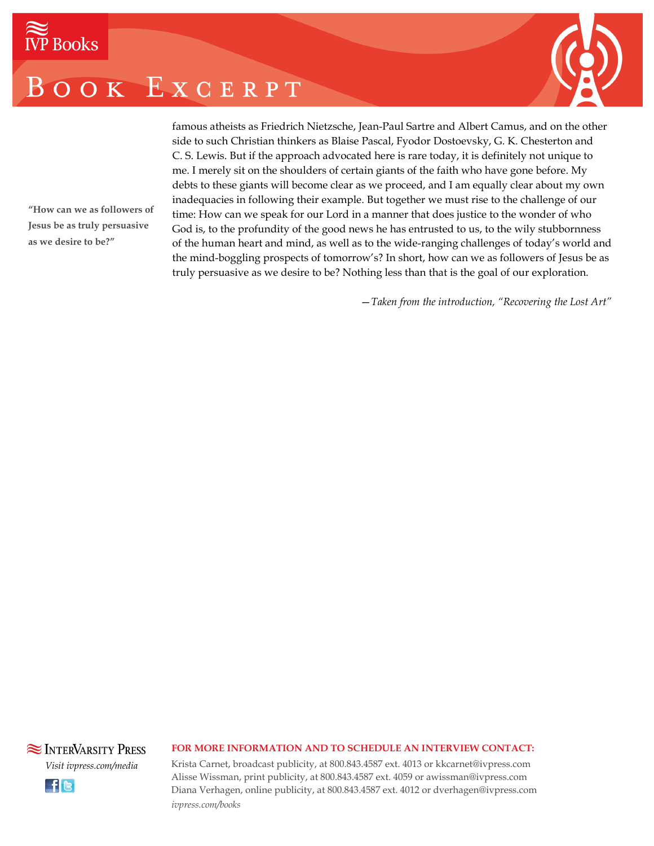# OOK EXCERPT



famous atheists as Friedrich Nietzsche, Jean-Paul Sartre and Albert Camus, and on the other side to such Christian thinkers as Blaise Pascal, Fyodor Dostoevsky, G. K. Chesterton and C. S. Lewis. But if the approach advocated here is rare today, it is definitely not unique to me. I merely sit on the shoulders of certain giants of the faith who have gone before. My debts to these giants will become clear as we proceed, and I am equally clear about my own inadequacies in following their example. But together we must rise to the challenge of our time: How can we speak for our Lord in a manner that does justice to the wonder of who God is, to the profundity of the good news he has entrusted to us, to the wily stubbornness of the human heart and mind, as well as to the wide-ranging challenges of today's world and the mind-boggling prospects of tomorrow's? In short, how can we as followers of Jesus be as truly persuasive as we desire to be? Nothing less than that is the goal of our exploration.

—*Taken from the introduction, "Recovering the Lost Art"*

**"How can we as followers of Jesus be as truly persuasive**

**as we desire to be?"**



#### **FOR MORE INFORMATION AND TO SCHEDULE AN INTERVIEW CONTACT:**